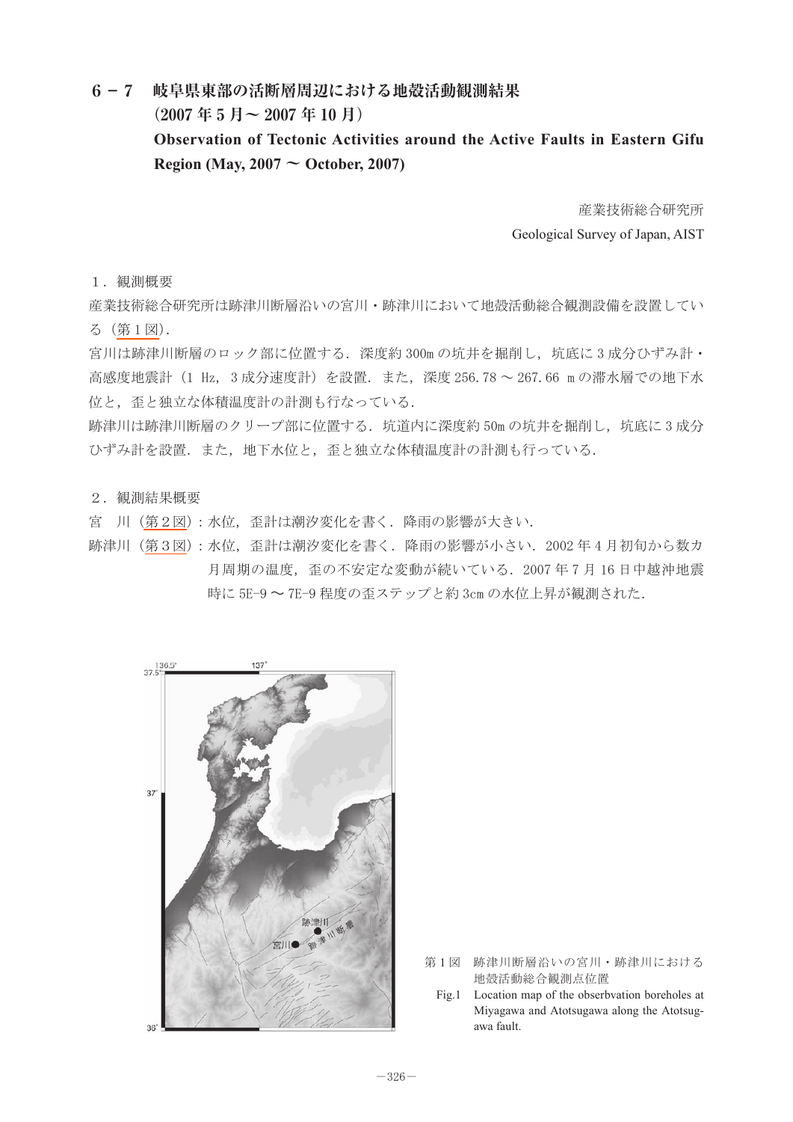## **6-7 岐阜県東部の活断層周辺における地殻活動観測結果**

 **(2007 年 5 月〜 2007 年 10 月)**

## **Observation of Tectonic Activities around the Active Faults in Eastern Gifu Region (May, 2007 ~ October, 2007)**

産業技術総合研究所 Geological Survey of Japan, AIST

1.観測概要

産業技術総合研究所は跡津川断層沿いの宮川・跡津川において地殻活動総合観測設備を設置してい る(第1図).

宮川は跡津川断層のロック部に位置する. 深度約 300m の坑井を掘削し,坑底に 3 成分ひずみ計· 高感度地震計(1 Hz, 3 成分速度計)を設置.また,深度 256.78 ~ 267.66 m の滞水層での地下水 位と,歪と独立な体積温度計の計測も行なっている.

跡津川は跡津川断層のクリープ部に位置する.坑道内に深度約 50m の坑井を掘削し,坑底に 3 成分 ひずみ計を設置.また,地下水位と,歪と独立な体積温度計の計測も行っている.

2.観測結果概要

宮 川 [\(第2図](#page-1-0)): 水位, 歪計は潮汐変化を書く. 降雨の影響が大きい.

跡津川([第3図](#page-1-0)):水位, 歪計は潮汐変化を書く. 降雨の影響が小さい. 2002年4月初旬から数カ 月周期の温度,歪の不安定な変動が続いている.2007 年 7 月 16 日中越沖地震 時に 5E-9 〜 7E-9 程度の歪ステップと約 3cm の水位上昇が観測された.



第1図 跡津川断層沿いの宮川・跡津川における 地殻活動総合観測点位置

Fig.1 Location map of the obserbvation boreholes at Miyagawa and Atotsugawa along the Atotsugawa fault.